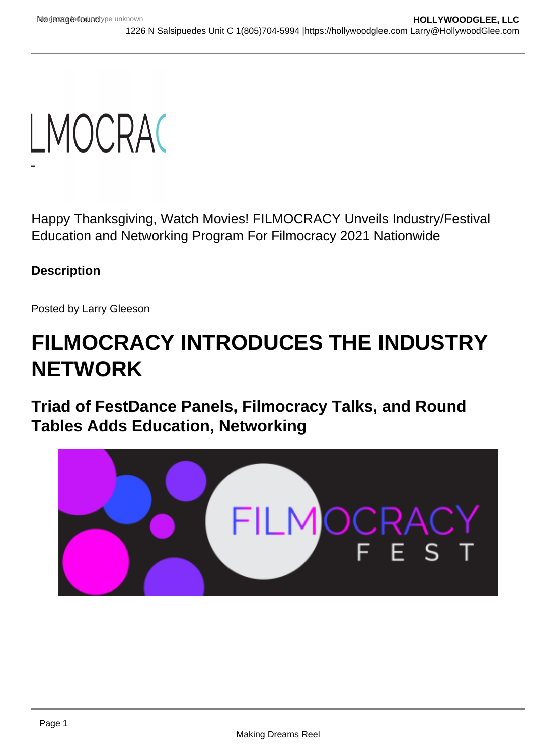Happy Thanksgiving, Watch Movies! FILMOCRACY Unveils Industry/Festival Education and Networking Program For Filmocracy 2021 Nationwide

**Description** 

Posted by Larry Gleeson

# FILMOCRACY INTRODUCES THE INDUSTRY **NETWORK**

Triad of FestDance Panels, Filmocracy Talks, and Round Tables Adds Education, Networking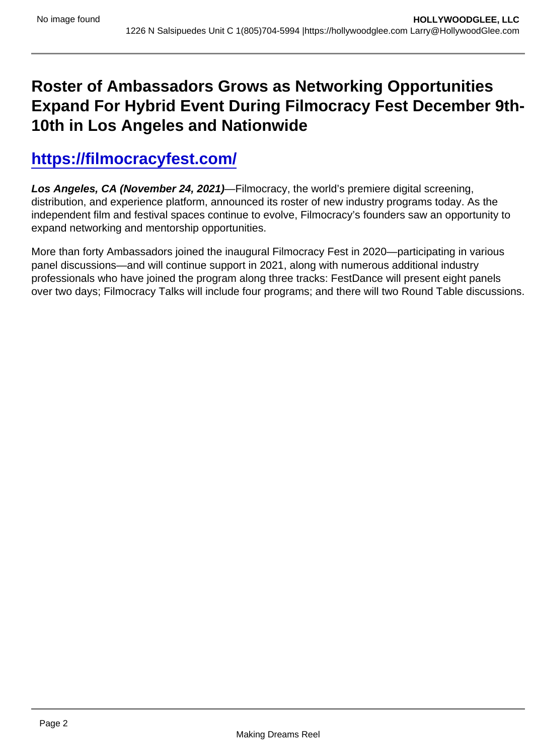## Roster of Ambassadors Grows as Networking Opportunities Expand For Hybrid Event During Filmocracy Fest December 9th-10th in Los Angeles and Nationwide

### [https://filmocracyfest.com/](https://sable.madmimi.com/c/324968?id=758953.5862.1.fd480d97856df5aac6512a0be3d403db)

Los Angeles, CA (November 24, 2021) —Filmocracy, the world's premiere digital screening, distribution, and experience platform, announced its roster of new industry programs today. As the independent film and festival spaces continue to evolve, Filmocracy's founders saw an opportunity to expand networking and mentorship opportunities.

More than forty Ambassadors joined the inaugural Filmocracy Fest in 2020—participating in various panel discussions—and will continue support in 2021, along with numerous additional industry professionals who have joined the program along three tracks: FestDance will present eight panels over two days; Filmocracy Talks will include four programs; and there will two Round Table discussions.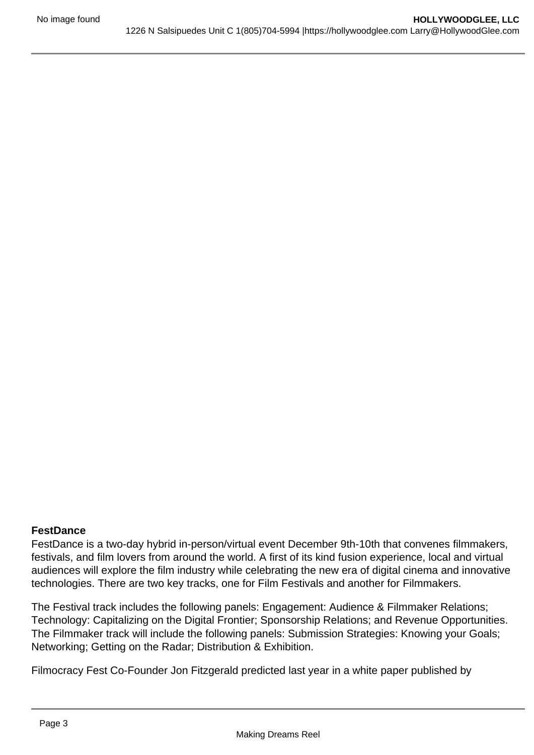#### **FestDance**

FestDance is a two-day hybrid in-person/virtual event December 9th-10th that convenes filmmakers, festivals, and film lovers from around the world. A first of its kind fusion experience, local and virtual audiences will explore the film industry while celebrating the new era of digital cinema and innovative technologies. There are two key tracks, one for Film Festivals and another for Filmmakers.

The Festival track includes the following panels: Engagement: Audience & Filmmaker Relations; Technology: Capitalizing on the Digital Frontier; Sponsorship Relations; and Revenue Opportunities. The Filmmaker track will include the following panels: Submission Strategies: Knowing your Goals; Networking; Getting on the Radar; Distribution & Exhibition.

Filmocracy Fest Co-Founder Jon Fitzgerald predicted last year in a white paper published by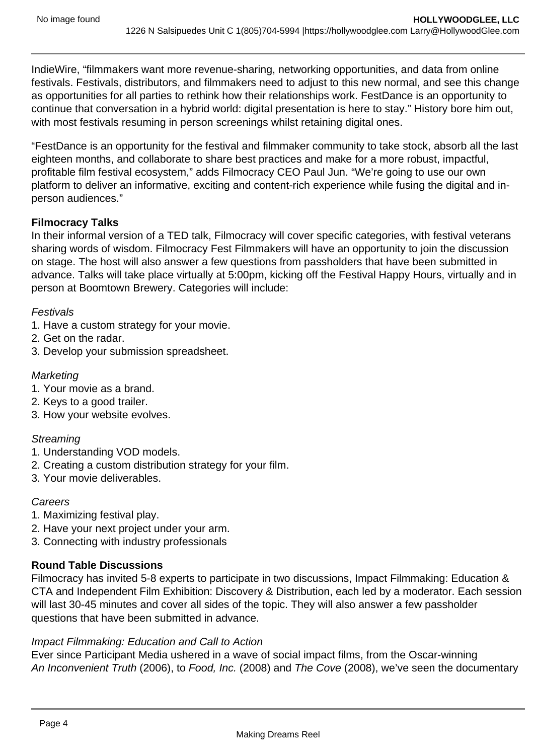IndieWire, "filmmakers want more revenue-sharing, networking opportunities, and data from online festivals. Festivals, distributors, and filmmakers need to adjust to this new normal, and see this change as opportunities for all parties to rethink how their relationships work. FestDance is an opportunity to continue that conversation in a hybrid world: digital presentation is here to stay." History bore him out, with most festivals resuming in person screenings whilst retaining digital ones.

"FestDance is an opportunity for the festival and filmmaker community to take stock, absorb all the last eighteen months, and collaborate to share best practices and make for a more robust, impactful, profitable film festival ecosystem," adds Filmocracy CEO Paul Jun. "We're going to use our own platform to deliver an informative, exciting and content-rich experience while fusing the digital and inperson audiences."

#### **Filmocracy Talks**

In their informal version of a TED talk, Filmocracy will cover specific categories, with festival veterans sharing words of wisdom. Filmocracy Fest Filmmakers will have an opportunity to join the discussion on stage. The host will also answer a few questions from passholders that have been submitted in advance. Talks will take place virtually at 5:00pm, kicking off the Festival Happy Hours, virtually and in person at Boomtown Brewery. Categories will include:

#### Festivals

- 1. Have a custom strategy for your movie.
- 2. Get on the radar.
- 3. Develop your submission spreadsheet.

#### **Marketing**

- 1. Your movie as a brand.
- 2. Keys to a good trailer.
- 3. How your website evolves.

#### **Streaming**

- 1. Understanding VOD models.
- 2. Creating a custom distribution strategy for your film.
- 3. Your movie deliverables.

#### **Careers**

- 1. Maximizing festival play.
- 2. Have your next project under your arm.
- 3. Connecting with industry professionals

#### **Round Table Discussions**

Filmocracy has invited 5-8 experts to participate in two discussions, Impact Filmmaking: Education & CTA and Independent Film Exhibition: Discovery & Distribution, each led by a moderator. Each session will last 30-45 minutes and cover all sides of the topic. They will also answer a few passholder questions that have been submitted in advance.

#### Impact Filmmaking: Education and Call to Action

Ever since Participant Media ushered in a wave of social impact films, from the Oscar-winning An Inconvenient Truth (2006), to Food, Inc. (2008) and The Cove (2008), we've seen the documentary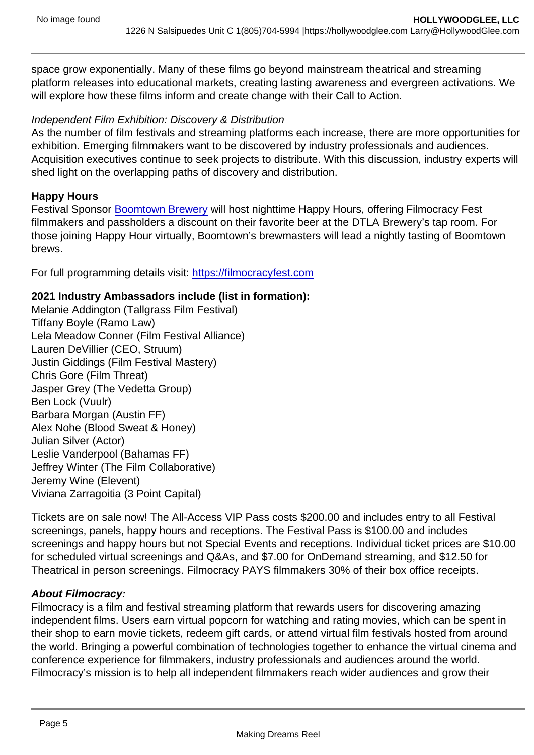space grow exponentially. Many of these films go beyond mainstream theatrical and streaming platform releases into educational markets, creating lasting awareness and evergreen activations. We will explore how these films inform and create change with their Call to Action.

Independent Film Exhibition: Discovery & Distribution

As the number of film festivals and streaming platforms each increase, there are more opportunities for exhibition. Emerging filmmakers want to be discovered by industry professionals and audiences. Acquisition executives continue to seek projects to distribute. With this discussion, industry experts will shed light on the overlapping paths of discovery and distribution.

#### Happy Hours

Festival Sponsor [Boomtown Brewery](https://sable.madmimi.com/c/324968?id=758953.5863.1.96facacdcd3001848259801273c5db1a) will host nighttime Happy Hours, offering Filmocracy Fest filmmakers and passholders a discount on their favorite beer at the DTLA Brewery's tap room. For those joining Happy Hour virtually, Boomtown's brewmasters will lead a nightly tasting of Boomtown brews.

For full programming details visit: [https://filmocracyfest.com](https://sable.madmimi.com/c/324968?id=758953.5864.1.fa1648046e53f7980da5a205bc91bce0)

2021 Industry Ambassadors include (list in formation): Melanie Addington (Tallgrass Film Festival) Tiffany Boyle (Ramo Law) Lela Meadow Conner (Film Festival Alliance) Lauren DeVillier (CEO, Struum) Justin Giddings (Film Festival Mastery) Chris Gore (Film Threat) Jasper Grey (The Vedetta Group) Ben Lock (Vuulr) Barbara Morgan (Austin FF) Alex Nohe (Blood Sweat & Honey) Julian Silver (Actor) Leslie Vanderpool (Bahamas FF) Jeffrey Winter (The Film Collaborative) Jeremy Wine (Elevent) Viviana Zarragoitia (3 Point Capital)

Tickets are on sale now! The All-Access VIP Pass costs \$200.00 and includes entry to all Festival screenings, panels, happy hours and receptions. The Festival Pass is \$100.00 and includes screenings and happy hours but not Special Events and receptions. Individual ticket prices are \$10.00 for scheduled virtual screenings and Q&As, and \$7.00 for OnDemand streaming, and \$12.50 for Theatrical in person screenings. Filmocracy PAYS filmmakers 30% of their box office receipts.

#### About Filmocracy:

Filmocracy is a film and festival streaming platform that rewards users for discovering amazing independent films. Users earn virtual popcorn for watching and rating movies, which can be spent in their shop to earn movie tickets, redeem gift cards, or attend virtual film festivals hosted from around the world. Bringing a powerful combination of technologies together to enhance the virtual cinema and conference experience for filmmakers, industry professionals and audiences around the world. Filmocracy's mission is to help all independent filmmakers reach wider audiences and grow their